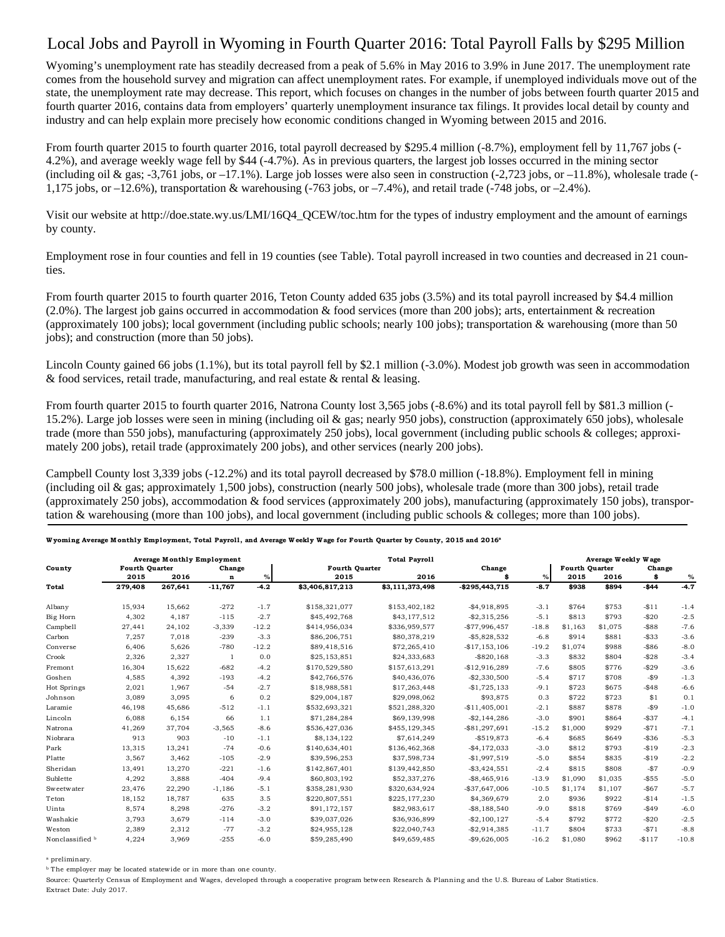## Local Jobs and Payroll in Wyoming in Fourth Quarter 2016: Total Payroll Falls by \$295 Million

Wyoming's unemployment rate has steadily decreased from a peak of 5.6% in May 2016 to 3.9% in June 2017. The unemployment rate comes from the household survey and migration can affect unemployment rates. For example, if unemployed individuals move out of the state, the unemployment rate may decrease. This report, which focuses on changes in the number of jobs between fourth quarter 2015 and fourth quarter 2016, contains data from employers' quarterly unemployment insurance tax filings. It provides local detail by county and industry and can help explain more precisely how economic conditions changed in Wyoming between 2015 and 2016.

From fourth quarter 2015 to fourth quarter 2016, total payroll decreased by \$295.4 million (-8.7%), employment fell by 11,767 jobs (- 4.2%), and average weekly wage fell by \$44 (-4.7%). As in previous quarters, the largest job losses occurred in the mining sector (including oil & gas; -3,761 jobs, or  $-17.1\%$ ). Large job losses were also seen in construction (-2,723 jobs, or  $-11.8\%$ ), wholesale trade (-1,175 jobs, or  $-12.6\%$ ), transportation & warehousing (-763 jobs, or  $-7.4\%$ ), and retail trade (-748 jobs, or  $-2.4\%$ ).

Visit our website at http://doe.state.wy.us/LMI/16Q4\_QCEW/toc.htm for the types of industry employment and the amount of earnings by county.

Employment rose in four counties and fell in 19 counties (see Table). Total payroll increased in two counties and decreased in 21 counties.

From fourth quarter 2015 to fourth quarter 2016, Teton County added 635 jobs (3.5%) and its total payroll increased by \$4.4 million (2.0%). The largest job gains occurred in accommodation & food services (more than 200 jobs); arts, entertainment & recreation (approximately 100 jobs); local government (including public schools; nearly 100 jobs); transportation & warehousing (more than 50 jobs); and construction (more than 50 jobs).

Lincoln County gained 66 jobs (1.1%), but its total payroll fell by \$2.1 million (-3.0%). Modest job growth was seen in accommodation  $\&$  food services, retail trade, manufacturing, and real estate  $\&$  rental  $\&$  leasing.

From fourth quarter 2015 to fourth quarter 2016, Natrona County lost 3,565 jobs (-8.6%) and its total payroll fell by \$81.3 million (- 15.2%). Large job losses were seen in mining (including oil & gas; nearly 950 jobs), construction (approximately 650 jobs), wholesale trade (more than 550 jobs), manufacturing (approximately 250 jobs), local government (including public schools & colleges; approximately 200 jobs), retail trade (approximately 200 jobs), and other services (nearly 200 jobs).

Campbell County lost 3,339 jobs (-12.2%) and its total payroll decreased by \$78.0 million (-18.8%). Employment fell in mining (including oil & gas; approximately 1,500 jobs), construction (nearly 500 jobs), wholesale trade (more than 300 jobs), retail trade (approximately 250 jobs), accommodation & food services (approximately 200 jobs), manufacturing (approximately 150 jobs), transportation & warehousing (more than 100 jobs), and local government (including public schools & colleges; more than 100 jobs).

|                 | <b>Average Monthly Employment</b> |         |             |         | <b>Total Payroll</b>  |                 |                  |         | Average Weekly Wage   |         |          |         |  |
|-----------------|-----------------------------------|---------|-------------|---------|-----------------------|-----------------|------------------|---------|-----------------------|---------|----------|---------|--|
| County          | <b>Fourth Quarter</b>             |         | Change      |         | <b>Fourth Quarter</b> |                 | Change           |         | <b>Fourth Ouarter</b> |         | Change   |         |  |
|                 | 2015                              | 2016    | $\mathbf n$ | $\%$    | 2015                  | 2016            |                  | $\%$    | 2015                  | 2016    | Ś        | %       |  |
| Total           | 279,408                           | 267,641 | $-11,767$   | $-4.2$  | \$3,406,817,213       | \$3,111,373,498 | $-$295,443,715$  | $-8.7$  | \$938                 | \$894   | $-$44$   | $-4.7$  |  |
| Albany          | 15,934                            | 15,662  | $-272$      | $-1.7$  | \$158,321,077         | \$153,402,182   | $-$4,918,895$    | $-3.1$  | \$764                 | \$753   | $-$11$   | $-1.4$  |  |
| Big Horn        | 4,302                             | 4,187   | $-115$      | $-2.7$  | \$45,492,768          | \$43,177,512    | $-$2,315,256$    | $-5.1$  | \$813                 | \$793   | $-$20$   | $-2.5$  |  |
| Campbell        | 27,441                            | 24,102  | $-3,339$    | $-12.2$ | \$414,956,034         | \$336,959,577   | $-$77,996,457$   | $-18.8$ | \$1,163               | \$1,075 | $-$ \$88 | $-7.6$  |  |
| Carbon          | 7,257                             | 7,018   | $-239$      | $-3.3$  | \$86,206,751          | \$80,378,219    | $-$5,828,532$    | $-6.8$  | \$914                 | \$881   | $-$33$   | $-3.6$  |  |
| Converse        | 6,406                             | 5,626   | $-780$      | $-12.2$ | \$89,418,516          | \$72,265,410    | $-$17,153,106$   | $-19.2$ | \$1,074               | \$988   | $-$ \$86 | $-8.0$  |  |
| Crook           | 2,326                             | 2,327   | -1          | 0.0     | \$25,153,851          | \$24,333,683    | $-$ \$820,168    | $-3.3$  | \$832                 | \$804   | $-$28$   | $-3.4$  |  |
| Fremont         | 16,304                            | 15.622  | $-682$      | $-4.2$  | \$170,529,580         | \$157,613,291   | $-$12,916,289$   | $-7.6$  | \$805                 | \$776   | $-$ \$29 | $-3.6$  |  |
| Goshen          | 4,585                             | 4,392   | $-193$      | $-4.2$  | \$42,766,576          | \$40,436,076    | $-$2,330,500$    | $-5.4$  | \$717                 | \$708   | $-$ \$9  | $-1.3$  |  |
| Hot Springs     | 2,021                             | 1,967   | $-54$       | $-2.7$  | \$18,988,581          | \$17,263,448    | $-$1,725,133$    | $-9.1$  | \$723                 | \$675   | $-$48$   | $-6.6$  |  |
| Johnson         | 3,089                             | 3,095   | 6           | 0.2     | \$29,004,187          | \$29,098,062    | \$93,875         | 0.3     | \$722                 | \$723   | \$1      | 0.1     |  |
| Laramie         | 46,198                            | 45,686  | $-512$      | $-1.1$  | \$532,693,321         | \$521,288,320   | $-$11,405,001$   | $-2.1$  | \$887                 | \$878   | $-$ \$9  | $-1.0$  |  |
| Lincoln         | 6.088                             | 6,154   | 66          | 1.1     | \$71,284,284          | \$69,139,998    | $-$2,144,286$    | $-3.0$  | \$901                 | \$864   | $-$37$   | $-4.1$  |  |
| Natrona         | 41,269                            | 37.704  | $-3,565$    | $-8.6$  | \$536,427,036         | \$455,129,345   | $-$ \$81,297,691 | $-15.2$ | \$1,000               | \$929   | $-$71$   | $-7.1$  |  |
| Niobrara        | 913                               | 903     | $-10$       | $-1.1$  | \$8,134,122           | \$7,614,249     | $-$519,873$      | $-6.4$  | \$685                 | \$649   | $-$ \$36 | $-5.3$  |  |
| Park            | 13,315                            | 13,241  | $-74$       | $-0.6$  | \$140,634,401         | \$136,462,368   | $-$4,172,033$    | $-3.0$  | \$812                 | \$793   | $-$19$   | $-2.3$  |  |
| Platte          | 3,567                             | 3.462   | $-105$      | $-2.9$  | \$39,596,253          | \$37,598,734    | $-$1,997,519$    | $-5.0$  | \$854                 | \$835   | $-$19$   | $-2.2$  |  |
| Sheridan        | 13,491                            | 13,270  | $-221$      | $-1.6$  | \$142,867,401         | \$139,442,850   | $-$3,424,551$    | $-2.4$  | \$815                 | \$808   | $-$ \$7  | $-0.9$  |  |
| Sublette        | 4,292                             | 3,888   | $-404$      | $-9.4$  | \$60,803,192          | \$52,337,276    | $-$8,465,916$    | $-13.9$ | \$1,090               | \$1,035 | $-$55$   | $-5.0$  |  |
| Sweetwater      | 23,476                            | 22,290  | $-1,186$    | $-5.1$  | \$358,281,930         | \$320,634,924   | $-$37,647,006$   | $-10.5$ | \$1,174               | \$1.107 | $-$67$   | $-5.7$  |  |
| Teton           | 18,152                            | 18.787  | 635         | 3.5     | \$220,807,551         | \$225,177,230   | \$4,369,679      | 2.0     | \$936                 | \$922   | $-$14$   | $-1.5$  |  |
| Uinta           | 8,574                             | 8,298   | $-276$      | $-3.2$  | \$91,172,157          | \$82,983,617    | $-$ \$8,188,540  | $-9.0$  | \$818                 | \$769   | $-$49$   | $-6.0$  |  |
| Washakie        | 3,793                             | 3,679   | $-114$      | $-3.0$  | \$39,037,026          | \$36,936,899    | $-$2,100,127$    | $-5.4$  | \$792                 | \$772   | $-$20$   | $-2.5$  |  |
| Weston          | 2,389                             | 2,312   | $-77$       | $-3.2$  | \$24,955,128          | \$22,040,743    | $-$2,914,385$    | $-11.7$ | \$804                 | \$733   | $-$71$   | $-8.8$  |  |
| Nonclassified b | 4,224                             | 3,969   | $-255$      | $-6.0$  | \$59,285,490          | \$49,659,485    | $-$9,626,005$    | $-16.2$ | \$1,080               | \$962   | $-$117$  | $-10.8$ |  |

## Wyoming Average Monthly Employment, Total Payroll, and Average W eekly Wage for Fourth Quarter by County, 2015 and 2016<sup>a</sup>

a preliminary.

**b** The employer may be located statewide or in more than one county.

Source: Quarterly Census of Employment and Wages, developed through a cooperative program between Research & Planning and the U.S. Bureau of Labor Statistics. Extract Date: July 2017.